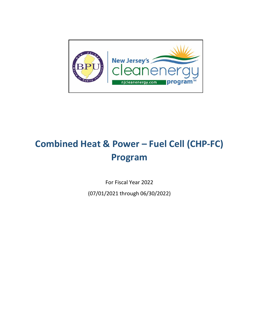

# **Combined Heat & Power – Fuel Cell (CHP-FC) Program**

For Fiscal Year 2022

(07/01/2021 through 06/30/2022)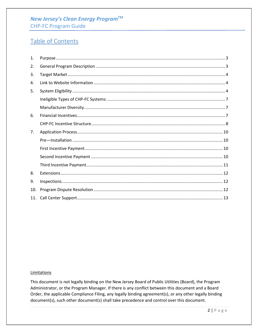## New Jersey's Clean Energy Program™ **CHP-FC Program Guide**

# Table of Contents

| 1.  |  |
|-----|--|
| 2.  |  |
| 3.  |  |
| 4.  |  |
| 5.  |  |
|     |  |
|     |  |
| 6.  |  |
|     |  |
| 7.  |  |
|     |  |
|     |  |
|     |  |
|     |  |
| 8.  |  |
| 9.  |  |
| 10. |  |
| 11. |  |

#### Limitations

This document is not legally binding on the New Jersey Board of Public Utilities (Board), the Program Administrator, or the Program Manager. If there is any conflict between this document and a Board Order, the applicable Compliance Filing, any legally binding agreement(s), or any other legally binding document(s), such other document(s) shall take precedence and control over this document.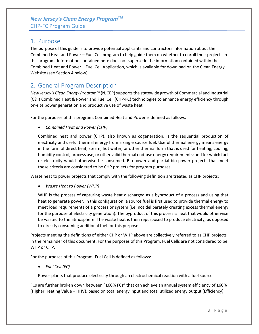### <span id="page-2-0"></span>1. Purpose

The purpose of this guide is to provide potential applicants and contractors information about the Combined Heat and Power – Fuel Cell program to help guide them on whether to enroll their projects in this program. Information contained here does not supersede the information contained within the Combined Heat and Power – Fuel Cell Application, which is available for download on the Clean Energy Website (see Section 4 below).

# <span id="page-2-1"></span>2. General Program Description

*New Jersey's Clean Energy Program*™ (NJCEP) supports the statewide growth of Commercial and Industrial (C&I) Combined Heat & Power and Fuel Cell (CHP-FC) technologies to enhance energy efficiency through on-site power generation and productive use of waste heat.

For the purposes of this program, Combined Heat and Power is defined as follows:

• *Combined Heat and Power (CHP)*

Combined heat and power (CHP), also known as cogeneration, is the sequential production of electricity and useful thermal energy from a single source fuel. Useful thermal energy means energy in the form of direct heat, steam, hot water, or other thermal form that is used for heating, cooling, humidity control, process use, or other valid thermal end-use energy requirements; and for which fuel or electricity would otherwise be consumed. Bio-power and partial bio-power projects that meet these criteria are considered to be CHP projects for program purposes.

Waste heat to power projects that comply with the following definition are treated as CHP projects:

• *Waste Heat to Power (WHP)*

WHP is the process of capturing waste heat discharged as a byproduct of a process and using that heat to generate power. In this configuration, a source fuel is first used to provide thermal energy to meet load requirements of a process or system (i.e. not deliberately creating excess thermal energy for the purpose of electricity generation). The byproduct of this process is heat that would otherwise be wasted to the atmosphere. The waste heat is then repurposed to produce electricity, as opposed to directly consuming additional fuel for this purpose.

Projects meeting the definitions of either CHP or WHP above are collectively referred to as CHP projects in the remainder of this document. For the purposes of this Program, Fuel Cells are not considered to be WHP or CHP.

For the purposes of this Program, Fuel Cell is defined as follows:

• *Fuel Cell (FC)*

Power plants that produce electricity through an electrochemical reaction with a fuel source.

FCs are further broken down between "≥60% FCs" that can achieve an annual system efficiency of ≥60% (Higher Heating Value – HHV), based on total energy input and total utilized energy output (Efficiency)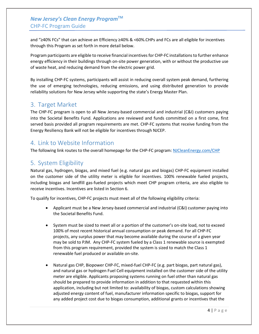### *New Jersey's Clean Energy Program***TM** CHP-FC Program Guide

and "≥40% FCs" that can achieve an Efficiency ≥40% & <60%.CHPs and FCs are all eligible for incentives through this Program as set forth in more detail below.

Program participants are eligible to receive financial incentives for CHP-FC installations to further enhance energy efficiency in their buildings through on-site power generation, with or without the productive use of waste heat, and reducing demand from the electric power grid.

By installing CHP-FC systems, participants will assist in reducing overall system peak demand, furthering the use of emerging technologies, reducing emissions, and using distributed generation to provide reliability solutions for New Jersey while supporting the state's Energy Master Plan.

## <span id="page-3-0"></span>3. Target Market

The CHP-FC program is open to all New Jersey-based commercial and industrial (C&I) customers paying into the Societal Benefits Fund. Applications are reviewed and funds committed on a first come, first served basis provided all program requirements are met. CHP-FC systems that receive funding from the Energy Resiliency Bank will not be eligible for incentives through NJCEP.

# <span id="page-3-1"></span>4. Link to Website Information

The following link routes to the overall homepage for the CHP-FC program: [NJCleanEnergy.com/CHP](http://njcleanenergy.com/commercial-industrial/programs/combined-heat-power/combined-heat-power)

# <span id="page-3-2"></span>5. System Eligibility

Natural gas, hydrogen, biogas, and mixed fuel (e.g. natural gas and biogas) CHP-FC equipment installed on the customer side of the utility meter is eligible for incentives. 100% renewable fueled projects, including biogas and landfill gas-fueled projects which meet CHP program criteria, are also eligible to receive incentives. Incentives are listed in Section 6.

To qualify for incentives, CHP-FC projects must meet all of the following eligibility criteria:

- Applicant must be a New Jersey-based commercial and industrial (C&I) customer paying into the Societal Benefits Fund.
- System must be sized to meet all or a portion of the customer's on-site load, not to exceed 100% of most recent historical annual consumption or peak demand. For all CHP-FC projects, any surplus power that may become available during the course of a given year may be sold to PJM. Any CHP-FC system fueled by a Class 1 renewable source is exempted from this program requirement, provided the system is sized to match the Class 1 renewable fuel produced or available on-site.
- Natural gas CHP, Biopower CHP-FC, mixed-fuel CHP-FC (e.g. part biogas, part natural gas), and natural gas or hydrogen Fuel Cell equipment installed on the customer side of the utility meter are eligible. Applicants proposing systems running on fuel other than natural gas should be prepared to provide information in addition to that requested within this application, including but not limited to: availability of biogas, custom calculations showing adjusted energy content of fuel, manufacturer information specific to biogas, support for any added project cost due to biogas consumption, additional grants or incentives that the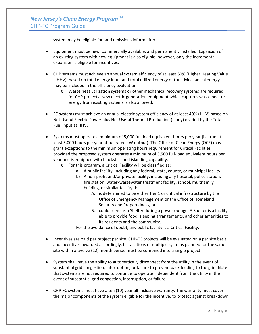system may be eligible for, and emissions information.

- Equipment must be new, commercially available, and permanently installed. Expansion of an existing system with new equipment is also eligible, however, only the incremental expansion is eligible for incentives.
- CHP systems must achieve an annual system efficiency of at least 60% (Higher Heating Value – HHV), based on total energy input and total utilized energy output. Mechanical energy may be included in the efficiency evaluation.
	- o Waste heat utilization systems or other mechanical recovery systems are required for CHP projects. New electric generation equipment which captures waste heat or energy from existing systems is also allowed.
- FC systems must achieve an annual electric system efficiency of at least 40% (HHV) based on Net Useful Electric Power plus Net Useful Thermal Production (if any) divided by the Total Fuel Input at HHV.
- Systems must operate a minimum of 5,000 full-load equivalent hours per year (i.e. run at least 5,000 hours per year at full rated kW output). The Office of Clean Energy (OCE) may grant exceptions to the minimum operating hours requirement for Critical Facilities, provided the proposed system operates a minimum of 3,500 full-load equivalent hours per year and is equipped with blackstart and islanding capability.
	- o For this program, a Critical Facility will be classified as:
		- a) A public facility, including any federal, state, county, or municipal facility
		- b) A non-profit and/or private facility, including any hospital, police station, fire station, water/wastewater treatment facility, school, multifamily building, or similar facility that:
			- A. is determined to be either Tier 1 or critical infrastructure by the Office of Emergency Management or the Office of Homeland Security and Preparedness, or
			- B. could serve as a Shelter during a power outage. A Shelter is a facility able to provide food, sleeping arrangements, and other amenities to its residents and the community.

For the avoidance of doubt, any public facility is a Critical Facility.

- Incentives are paid per project per site. CHP-FC projects will be evaluated on a per site basis and incentives awarded accordingly. Installations of multiple systems planned for the same site within a twelve (12) month period must be combined into a single project.
- System shall have the ability to automatically disconnect from the utility in the event of substantial grid congestion, interruption, or failure to prevent back feeding to the grid. Note that systems are not required to continue to operate independent from the utility in the event of substantial grid congestion, interruption, or failure.
- CHP-FC systems must have a ten (10) year all-inclusive warranty. The warranty must cover the major components of the system eligible for the incentive, to protect against breakdown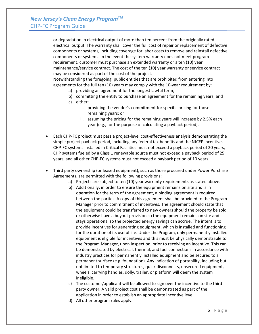or degradation in electrical output of more than ten percent from the originally rated electrical output. The warranty shall cover the full cost of repair or replacement of defective components or systems, including coverage for labor costs to remove and reinstall defective components or systems. In the event the system warranty does not meet program requirement, customer must purchase an extended warranty or a ten (10) year maintenance/service contract. The cost of the ten (10) year warranty or service contract may be considered as part of the cost of the project.

Notwithstanding the foregoing, public entities that are prohibited from entering into agreements for the full ten (10) years may comply with the 10-year requirement by:

- a) providing an agreement for the longest lawful term;
- b) committing the entity to purchase an agreement for the remaining years; and
- c) either:
	- i. providing the vendor's commitment for specific pricing for those remaining years; or
	- ii. assuming the pricing for the remaining years will increase by 2.5% each year (e.g., for the purpose of calculating a payback period).
- Each CHP-FC project must pass a project-level cost-effectiveness analysis demonstrating the simple project payback period, including any federal tax benefits and the NJCEP incentive. CHP-FC systems installed in Critical Facilities must not exceed a payback period of 20 years, CHP systems fueled by a Class 1 renewable source must not exceed a payback period of 25 years, and all other CHP-FC systems must not exceed a payback period of 10 years.
- Third party ownership (or leased equipment), such as those procured under Power Purchase Agreements, are permitted with the following provisions:
	- a) Projects are subject to ten (10) year warranty requirements as stated above.
	- b) Additionally, in order to ensure the equipment remains on site and is in operation for the term of the agreement, a binding agreement is required between the parties. A copy of this agreement shall be provided to the Program Manager prior to commitment of incentives. The agreement should state that the equipment could be transferred to new owners should the property be sold or otherwise have a buyout provision so the equipment remains on site and stays operational so the projected energy savings can accrue. The intent is to provide incentives for generating equipment, which is installed and functioning for the duration of its useful life. Under the Program, only permanently installed equipment is eligible for incentives and this must be physically demonstrable to the Program Manager, upon inspection, prior to receiving an incentive. This can be demonstrated by electrical, thermal, and fuel connections in accordance with industry practices for permanently installed equipment and be secured to a permanent surface (e.g. foundation). Any indication of portability, including but not limited to temporary structures, quick disconnects, unsecured equipment, wheels, carrying handles, dolly, trailer, or platform will deem the system ineligible.
	- c) The customer/applicant will be allowed to sign over the incentive to the third party owner. A valid project cost shall be demonstrated as part of the application in order to establish an appropriate incentive level.
	- d) All other program rules apply.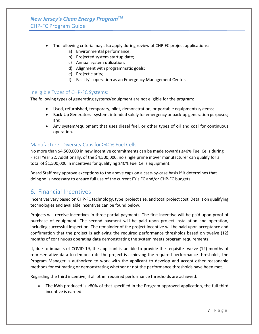- The following criteria may also apply during review of CHP-FC project applications:
	- a) Environmental performance;
	- b) Projected system startup date;
	- c) Annual system utilization;
	- d) Alignment with programmatic goals;
	- e) Project clarity;
	- f) Facility's operation as an Emergency Management Center.

#### <span id="page-6-0"></span>Ineligible Types of CHP-FC Systems:

The following types of generating systems/equipment are not eligible for the program:

- Used, refurbished, temporary, pilot, demonstration, or portable equipment/systems;
- Back-Up Generators systems intended solely for emergency or back-up generation purposes; and
- Any system/equipment that uses diesel fuel, or other types of oil and coal for continuous operation.

#### <span id="page-6-1"></span>Manufacturer Diversity Caps for ≥40% Fuel Cells

No more than \$4,500,000 in new incentive commitments can be made towards ≥40% Fuel Cells during Fiscal Year 22. Additionally, of the \$4,500,000, no single prime mover manufacturer can qualify for a total of \$1,500,000 in incentives for qualifying ≥40% Fuel Cells equipment.

Board Staff may approve exceptions to the above caps on a case-by-case basis if it determines that doing so is necessary to ensure full use of the current FY's FC and/or CHP-FC budgets.

# <span id="page-6-2"></span>6. Financial Incentives

Incentives vary based on CHP-FC technology, type, project size, and total project cost. Details on qualifying technologies and available incentives can be found below.

Projects will receive incentives in three partial payments. The first incentive will be paid upon proof of purchase of equipment. The second payment will be paid upon project installation and operation, including successful inspection. The remainder of the project incentive will be paid upon acceptance and confirmation that the project is achieving the required performance thresholds based on twelve (12) months of continuous operating data demonstrating the system meets program requirements.

If, due to impacts of COVID-19, the applicant is unable to provide the requisite twelve (12) months of representative data to demonstrate the project is achieving the required performance thresholds, the Program Manager is authorized to work with the applicant to develop and accept other reasonable methods for estimating or demonstrating whether or not the performance thresholds have been met.

Regarding the third incentive, if all other required performance thresholds are achieved:

• The kWh produced is ≥80% of that specified in the Program-approved application, the full third incentive is earned.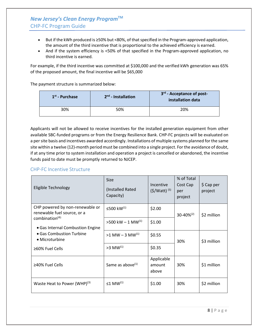# *New Jersey's Clean Energy Program***TM** CHP-FC Program Guide

- But if the kWh produced is ≥50% but <80%, of that specified in the Program-approved application, the amount of the third incentive that is proportional to the achieved efficiency is earned.
- And if the system efficiency is <50% of that specified in the Program-approved application, no third incentive is earned.

For example, if the third incentive was committed at \$100,000 and the verified kWh generation was 65% of the proposed amount, the final incentive will be \$65,000

The payment structure is summarized below:

| $1st$ - Purchase | $2nd$ - Installation | 3rd - Acceptance of post-<br>installation data |
|------------------|----------------------|------------------------------------------------|
| 30%              | 50%                  | 20%                                            |

Applicants will not be allowed to receive incentives for the installed generation equipment from other available SBC-funded programs or from the Energy Resilience Bank. CHP-FC projects will be evaluated on a per site basis and incentives awarded accordingly. Installations of multiple systems planned for the same site within a twelve (12)-month period must be combined into a single project. For the avoidance of doubt, if at any time prior to system installation and operation a project is cancelled or abandoned, the incentive funds paid to date must be promptly returned to NJCEP.

#### <span id="page-7-0"></span>CHP-FC Incentive Structure

| Eligible Technology                                             | <b>Size</b><br>(Installed Rated<br>Capacity) | Incentive<br>$(5/Watt)$ <sup>(5)</sup> | % of Total<br>Cost Cap<br>per<br>project | \$ Cap per<br>project |
|-----------------------------------------------------------------|----------------------------------------------|----------------------------------------|------------------------------------------|-----------------------|
| CHP powered by non-renewable or<br>renewable fuel source, or a  | ≤500 kW(1)                                   | \$2.00                                 | $30 - 40\%^{(2)}$                        | \$2 million           |
| combination <sup>(4):</sup><br>• Gas Internal Combustion Engine | $>500$ kW $-1$ MW <sup>(1)</sup>             | \$1.00                                 |                                          |                       |
| • Gas Combustion Turbine<br>• Microturbine                      | $>1$ MW $-$ 3 MW <sup>(1)</sup>              | \$0.55                                 | 30%                                      | \$3 million           |
| $\geq 60\%$ Fuel Cells                                          | $>3$ MW <sup>(1)</sup>                       | \$0.35                                 |                                          |                       |
| ≥40% Fuel Cells                                                 | Same as above $(1)$                          | Applicable<br>amount<br>above          | 30%                                      | \$1 million           |
| Waste Heat to Power (WHP) $(3)$                                 | $\leq$ 1 MW <sup>(1)</sup>                   | \$1.00                                 | 30%                                      | \$2 million           |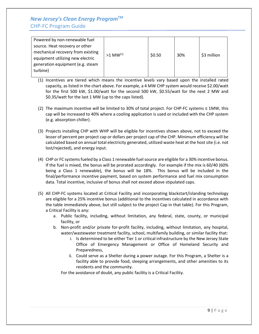# *New Jersey's Clean Energy Program***TM** CHP-FC Program Guide

| Powered by non-renewable fuel     |                        |        |     |             |
|-----------------------------------|------------------------|--------|-----|-------------|
| source. Heat recovery or other    |                        |        |     |             |
| mechanical recovery from existing | $>1$ MW <sup>(1)</sup> | \$0.50 | 30% |             |
| equipment utilizing new electric  |                        |        |     | \$3 million |
| generation equipment (e.g. steam  |                        |        |     |             |
| turbine)                          |                        |        |     |             |
|                                   |                        |        |     |             |

- (1) Incentives are tiered which means the incentive levels vary based upon the installed rated capacity, as listed in the chart above. For example, a 4 MW CHP system would receive \$2.00/watt for the first 500 kW, \$1.00/watt for the second 500 kW, \$0.55/watt for the next 2 MW and \$0.35/watt for the last 1 MW (up to the caps listed).
- (2) The maximum incentive will be limited to 30% of total project. For CHP-FC systems ≤ 1MW, this cap will be increased to 40% where a cooling application is used or included with the CHP system (e.g. absorption chiller).
- (3) Projects installing CHP with WHP will be eligible for incentives shown above, not to exceed the lesser of percent per project cap or dollars per project cap of the CHP. Minimum efficiency will be calculated based on annual total electricity generated, utilized waste heat at the host site (i.e. not lost/rejected), and energy input.
- (4) CHP or FC systems fueled by a Class 1 renewable fuel source are eligible for a 30% incentive bonus. If the fuel is mixed, the bonus will be prorated accordingly. For example if the mix is 60/40 (60% being a Class 1 renewable), the bonus will be 18%. This bonus will be included in the final/performance incentive payment, based on system performance and fuel mix consumption data. Total incentive, inclusive of bonus shall not exceed above stipulated caps.
- (5) All CHP-FC systems located at Critical Facility and incorporating blackstart/islanding technology are eligible for a 25% incentive bonus (additional to the incentives calculated in accordance with the table immediately above, but still subject to the project Cap in that table). For this Program, a Critical Facility is any:
	- a. Public facility, including, without limitation, any federal, state, county, or municipal facility, or
	- b. Non-profit and/or private for-profit facility, including, without limitation, any hospital, water/wastewater treatment facility, school, multifamily building, or similar facility that:
		- i. Is determined to be either Tier 1 or critical infrastructure by the New Jersey State Office of Emergency Management or Office of Homeland Security and Preparedness,
		- ii. Could serve as a Shelter during a power outage. For this Program, a Shelter is a facility able to provide food, sleeping arrangements, and other amenities to its residents and the community.

For the avoidance of doubt, any public facility is a Critical Facility.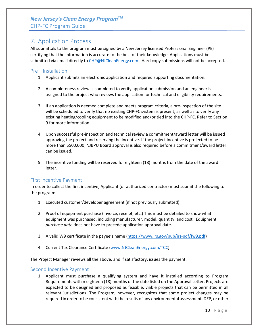# <span id="page-9-0"></span>7. Application Process

All submittals to the program must be signed by a New Jersey licensed Professional Engineer (PE) certifying that the information is accurate to the best of their knowledge. Applications must be submitted via email directly to CHP@NJCleanEnergy.com. Hard copy submissions will not be accepted.

#### <span id="page-9-1"></span>Pre—Installation

- 1. Applicant submits an electronic application and required supporting documentation.
- 2. A completeness review is completed to verify application submission and an engineer is assigned to the project who reviews the application for technical and eligibility requirements.
- 3. If an application is deemed complete and meets program criteria, a pre-inspection of the site will be scheduled to verify that no existing CHP-FC system is present, as well as to verify any existing heating/cooling equipment to be modified and/or tied into the CHP-FC. Refer to Section 9 for more information.
- 4. Upon successful pre-inspection and technical review a commitment/award letter will be issued approving the project and reserving the incentive. If the project incentive is projected to be more than \$500,000, NJBPU Board approval is also required before a commitment/award letter can be issued.
- 5. The incentive funding will be reserved for eighteen (18) months from the date of the award letter.

#### <span id="page-9-2"></span>First Incentive Payment

In order to collect the first incentive, Applicant (or authorized contractor) must submit the following to the program:

- 1. Executed customer/developer agreement (if not previously submitted)
- 2. Proof of equipment purchase (invoice, receipt, etc.) This must be detailed to show what equipment was purchased, including manufacturer, model, quantity, and cost. Equipment *purchase date* does not have to precede application approval date.
- 3. A valid W9 certificate in the payee's name [\(https://www.irs.gov/pub/irs-pdf/fw9.pdf\)](https://www.irs.gov/pub/irs-pdf/fw9.pdf)
- 4. Current Tax Clearance Certificate [\(www.NJCleanEnergy.com/TCC\)](http://www.njcleanenergy.com/TCC)

The Project Manager reviews all the above, and if satisfactory, issues the payment.

#### <span id="page-9-3"></span>Second Incentive Payment

1. Applicant must purchase a qualifying system and have it installed according to Program Requirements within eighteen (18) months of the date listed on the Approval Letter. Projects are expected to be designed and proposed as feasible, viable projects that can be permitted in all relevant jurisdictions. The Program, however, recognizes that some project changes may be required in order to be consistent with the results of any environmental assessment, DEP, or other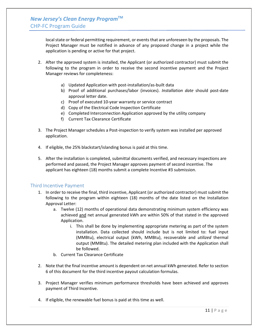local state or federal permitting requirement, or events that are unforeseen by the proposals. The Project Manager must be notified in advance of any proposed change in a project while the application is pending or active for that project.

- 2. After the approved system is installed, the Applicant (or authorized contractor) must submit the following to the program in order to receive the second incentive payment and the Project Manager reviews for completeness:
	- a) Updated Application with post-installation/as-built data
	- b) Proof of additional purchases/labor (invoices). *Installation date* should post-date approval letter date.
	- c) Proof of executed 10-year warranty or service contract
	- d) Copy of the Electrical Code Inspection Certificate
	- e) Completed Interconnection Application approved by the utility company
	- f) Current Tax Clearance Certificate
- 3. The Project Manager schedules a Post-inspection to verify system was installed per approved application.
- 4. If eligible, the 25% blackstart/islanding bonus is paid at this time.
- 5. After the installation is completed, submittal documents verified, and necessary inspections are performed and passed, the Project Manager approves payment of second incentive. The applicant has eighteen (18) months submit a complete Incentive #3 submission.

#### <span id="page-10-0"></span>Third Incentive Payment

- 1. In order to receive the final, third incentive, Applicant (or authorized contractor) must submit the following to the program within eighteen (18) months of the date listed on the Installation Approval Letter:
	- a. Twelve (12) months of operational data demonstrating minimum system efficiency was achieved and net annual generated kWh are within 50% of that stated in the approved Application.
		- i. This shall be done by implementing appropriate metering as part of the system installation. Data collected should include but is not limited to: fuel input (MMBtu), electrical output (kWh, MMBtu), recoverable and *utilized* thermal output (MMBtu). The detailed metering plan included with the Application shall be followed.
	- b. Current Tax Clearance Certificate
- 2. Note that the final incentive amount is dependent on net annual kWh generated. Refer to section 6 of this document for the third incentive payout calculation formulas.
- 3. Project Manager verifies minimum performance thresholds have been achieved and approves payment of Third Incentive.
- 4. If eligible, the renewable fuel bonus is paid at this time as well.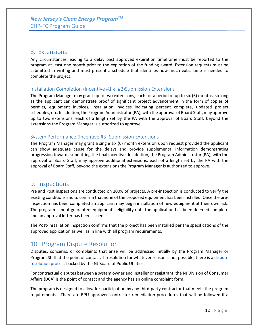### <span id="page-11-0"></span>8. Extensions

Any circumstances leading to a delay past approved expiration timeframe must be reported to the program at least one month prior to the expiration of the funding award. Extension requests must be submitted in writing and must present a schedule that identifies how much extra time is needed to complete the project.

#### Installation Completion (Incentive #1 & #2)Submission Extensions

The Program Manager may grant up to two extensions, each for a period of up to six (6) months, so long as the applicant can demonstrate proof of significant project advancement in the form of copies of permits, equipment invoices, installation invoices indicating percent complete, updated project schedules, etc. In addition, the Program Administrator (PA), with the approval of Board Staff, may approve up to two extensions, each of a length set by the PA with the approval of Board Staff, beyond the extensions the Program Manager is authorized to approve.

#### System Performance (Incentive #3) Submission Extensions

The Program Manager may grant a single six (6) month extension upon request provided the applicant can show adequate cause for the delays and provide supplemental information demonstrating progression towards submitting the final incentive. In addition, the Program Administrator (PA), with the approval of Board Staff, may approve additional extensions, each of a length set by the PA with the approval of Board Staff, beyond the extensions the Program Manager is authorized to approve.

### <span id="page-11-1"></span>9. Inspections

Pre and Post inspections are conducted on 100% of projects. A pre-inspection is conducted to verify the existing conditions and to confirm that none of the proposed equipment has been installed. Once the preinspection has been completed an applicant may begin installation of new equipment at their own risk. The program cannot guarantee equipment's eligibility until the application has been deemed complete and an approval letter has been issued.

The Post-Installation inspection confirms that the project has been installed per the specifications of the approved application as well as in line with all program requirements.

# <span id="page-11-2"></span>10. Program Dispute Resolution

Disputes, concerns, or complaints that arise will be addressed initially by the Program Manager or Program Staff at the point of contact. If resolution for whatever reason is not possible, there is a dispute [resolution process](http://www.njcleanenergy.com/main/board-public-utilities/board-public-utilities-0) backed by the NJ Board of Public Utilities.

For contractual disputes between a system owner and installer or registrant, the NJ Division of Consumer Affairs (DCA) is the point of contact and the agency has an online complaint form.

The program is designed to allow for participation by any third-party contractor that meets the program requirements. There are BPU approved contractor remediation procedures that will be followed if a